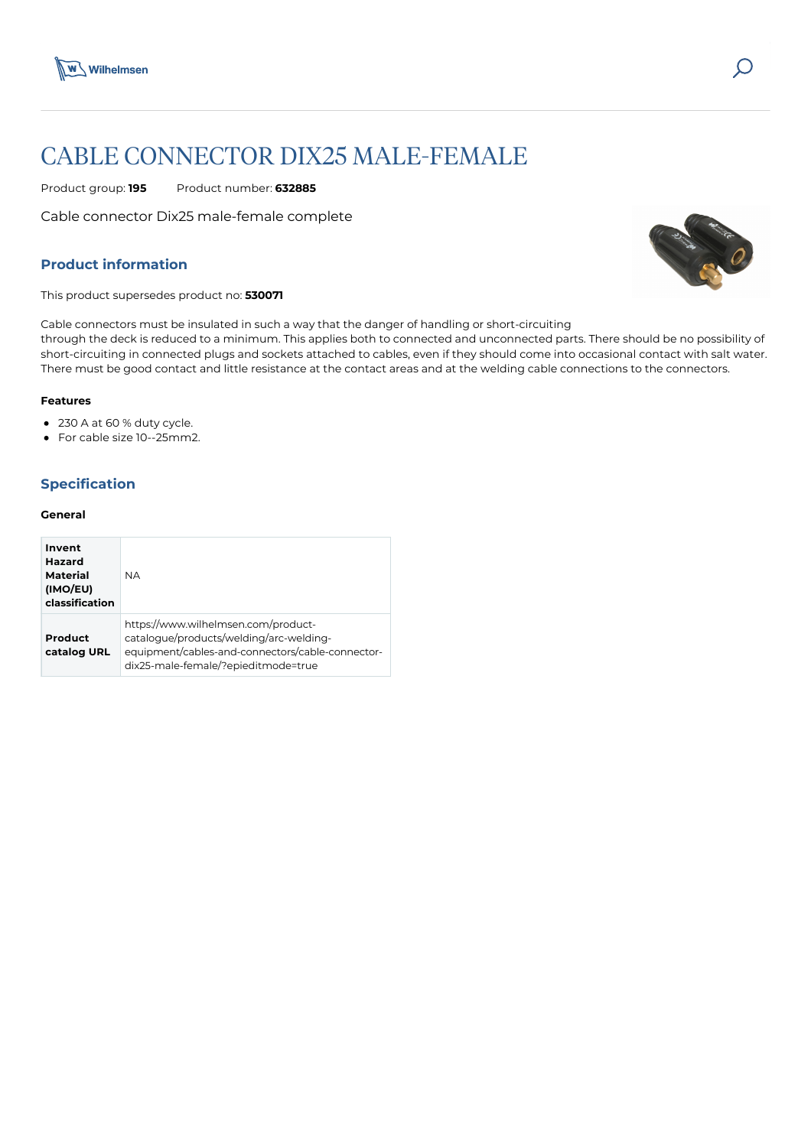

# CABLE CONNECTOR DIX25 MALE-FEMALE

Product group: **195** Product number: **632885**

Cable connector Dix25 male-female complete

## **Product information**

This product supersedes product no: **530071**

Cable connectors must be insulated in such a way that the danger of handling or short-circuiting through the deck is reduced to a minimum. This applies both to connected and unconnected parts. There should be no possibility of short-circuiting in connected plugs and sockets attached to cables, even if they should come into occasional contact with salt water. There must be good contact and little resistance at the contact areas and at the welding cable connections to the connectors.

## **Features**

- 230 A at 60 % duty cycle.
- For cable size 10--25mm2.

# **Specification**

### **General**

| Invent<br>Hazard<br>Material<br>(IMO/EU)<br>classification | <b>NA</b>                                                                                                                                                                 |
|------------------------------------------------------------|---------------------------------------------------------------------------------------------------------------------------------------------------------------------------|
| Product<br>catalog URL                                     | https://www.wilhelmsen.com/product-<br>catalogue/products/welding/arc-welding-<br>equipment/cables-and-connectors/cable-connector-<br>dix25-male-female/?epieditmode=true |